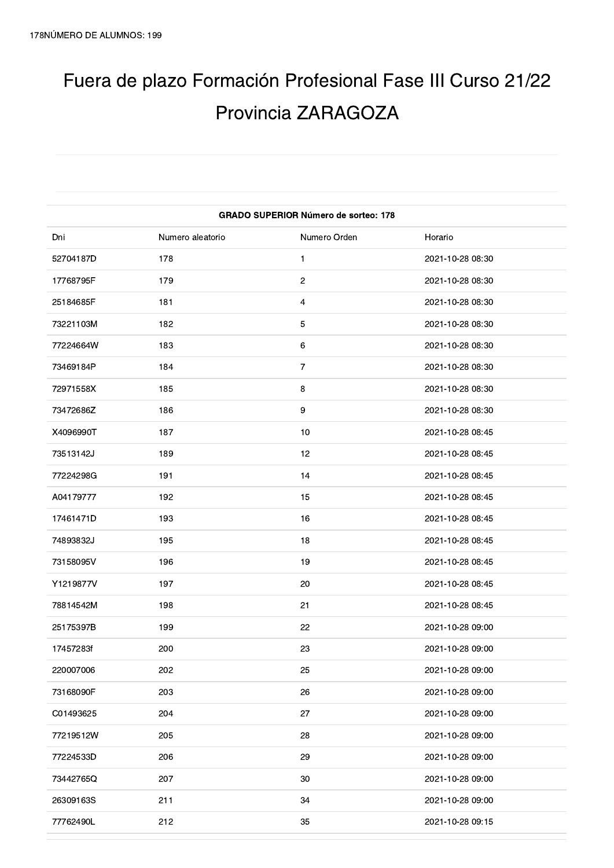## Fuera de plazo Formación Profesional Fase III Curso 21/22 Provincia ZARAGOZA

| <b>GRADO SUPERIOR Número de sorteo: 178</b> |                  |                |                  |
|---------------------------------------------|------------------|----------------|------------------|
| Dni                                         | Numero aleatorio | Numero Orden   | Horario          |
| 52704187D                                   | 178              | 1              | 2021-10-28 08:30 |
| 17768795F                                   | 179              | $\overline{c}$ | 2021-10-28 08:30 |
| 25184685F                                   | 181              | 4              | 2021-10-28 08:30 |
| 73221103M                                   | 182              | 5              | 2021-10-28 08:30 |
| 77224664W                                   | 183              | 6              | 2021-10-28 08:30 |
| 73469184P                                   | 184              | $\overline{7}$ | 2021-10-28 08:30 |
| 72971558X                                   | 185              | 8              | 2021-10-28 08:30 |
| 73472686Z                                   | 186              | 9              | 2021-10-28 08:30 |
| X4096990T                                   | 187              | 10             | 2021-10-28 08:45 |
| 73513142J                                   | 189              | 12             | 2021-10-28 08:45 |
| 77224298G                                   | 191              | 14             | 2021-10-28 08:45 |
| A04179777                                   | 192              | 15             | 2021-10-28 08:45 |
| 17461471D                                   | 193              | 16             | 2021-10-28 08:45 |
| 74893832J                                   | 195              | 18             | 2021-10-28 08:45 |
| 73158095V                                   | 196              | 19             | 2021-10-28 08:45 |
| Y1219877V                                   | 197              | 20             | 2021-10-28 08:45 |
| 78814542M                                   | 198              | 21             | 2021-10-28 08:45 |
| 25175397B                                   | 199              | 22             | 2021-10-28 09:00 |
| 17457283f                                   | 200              | 23             | 2021-10-28 09:00 |
| 220007006                                   | 202              | 25             | 2021-10-28 09:00 |
| 73168090F                                   | 203              | 26             | 2021-10-28 09:00 |
| C01493625                                   | 204              | 27             | 2021-10-28 09:00 |
| 77219512W                                   | 205              | 28             | 2021-10-28 09:00 |
| 77224533D                                   | 206              | 29             | 2021-10-28 09:00 |
| 73442765Q                                   | 207              | 30             | 2021-10-28 09:00 |
| 26309163S                                   | 211              | 34             | 2021-10-28 09:00 |
| 77762490L                                   | 212              | 35             | 2021-10-28 09:15 |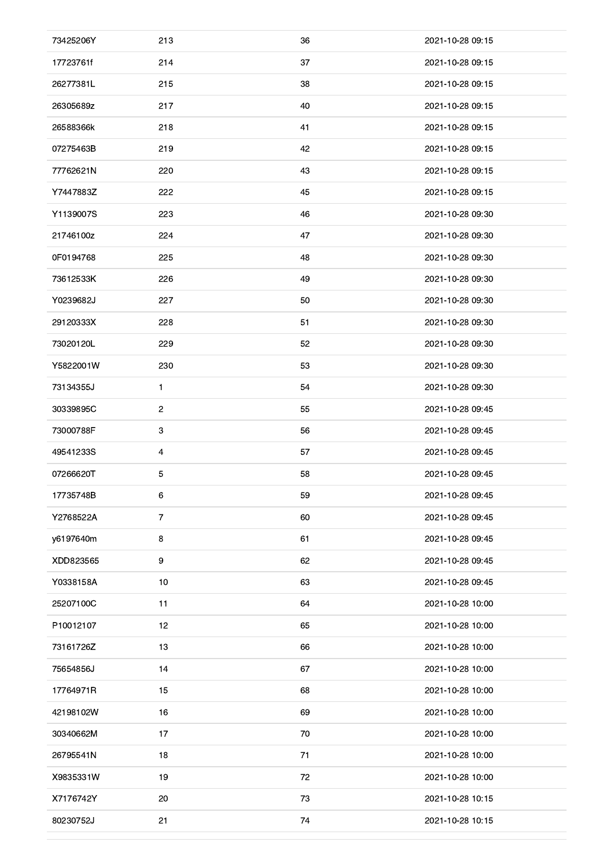| 73425206Y | 213            | 36 | 2021-10-28 09:15 |
|-----------|----------------|----|------------------|
| 17723761f | 214            | 37 | 2021-10-28 09:15 |
| 26277381L | 215            | 38 | 2021-10-28 09:15 |
| 26305689z | 217            | 40 | 2021-10-28 09:15 |
| 26588366k | 218            | 41 | 2021-10-28 09:15 |
| 07275463B | 219            | 42 | 2021-10-28 09:15 |
| 77762621N | 220            | 43 | 2021-10-28 09:15 |
| Y7447883Z | 222            | 45 | 2021-10-28 09:15 |
| Y1139007S | 223            | 46 | 2021-10-28 09:30 |
| 21746100z | 224            | 47 | 2021-10-28 09:30 |
| 0F0194768 | 225            | 48 | 2021-10-28 09:30 |
| 73612533K | 226            | 49 | 2021-10-28 09:30 |
| Y0239682J | 227            | 50 | 2021-10-28 09:30 |
| 29120333X | 228            | 51 | 2021-10-28 09:30 |
| 73020120L | 229            | 52 | 2021-10-28 09:30 |
| Y5822001W | 230            | 53 | 2021-10-28 09:30 |
| 73134355J | $\mathbf{1}$   | 54 | 2021-10-28 09:30 |
| 30339895C | $\overline{2}$ | 55 | 2021-10-28 09:45 |
| 73000788F | $\mathbf{3}$   | 56 | 2021-10-28 09:45 |
| 49541233S | 4              | 57 | 2021-10-28 09:45 |
| 07266620T | 5              | 58 | 2021-10-28 09:45 |
| 17735748B | 6              | 59 | 2021-10-28 09:45 |
| Y2768522A | $\overline{7}$ | 60 | 2021-10-28 09:45 |
| y6197640m | 8              | 61 | 2021-10-28 09:45 |
| XDD823565 | 9              | 62 | 2021-10-28 09:45 |
| Y0338158A | 10             | 63 | 2021-10-28 09:45 |
| 25207100C | 11             | 64 | 2021-10-28 10:00 |
| P10012107 | 12             | 65 | 2021-10-28 10:00 |
| 73161726Z | 13             | 66 | 2021-10-28 10:00 |
| 75654856J | 14             | 67 | 2021-10-28 10:00 |
| 17764971R | 15             | 68 | 2021-10-28 10:00 |
| 42198102W | 16             | 69 | 2021-10-28 10:00 |
| 30340662M | 17             | 70 | 2021-10-28 10:00 |
| 26795541N | 18             | 71 | 2021-10-28 10:00 |
| X9835331W | 19             | 72 | 2021-10-28 10:00 |
| X7176742Y | 20             | 73 | 2021-10-28 10:15 |
| 80230752J | 21             | 74 | 2021-10-28 10:15 |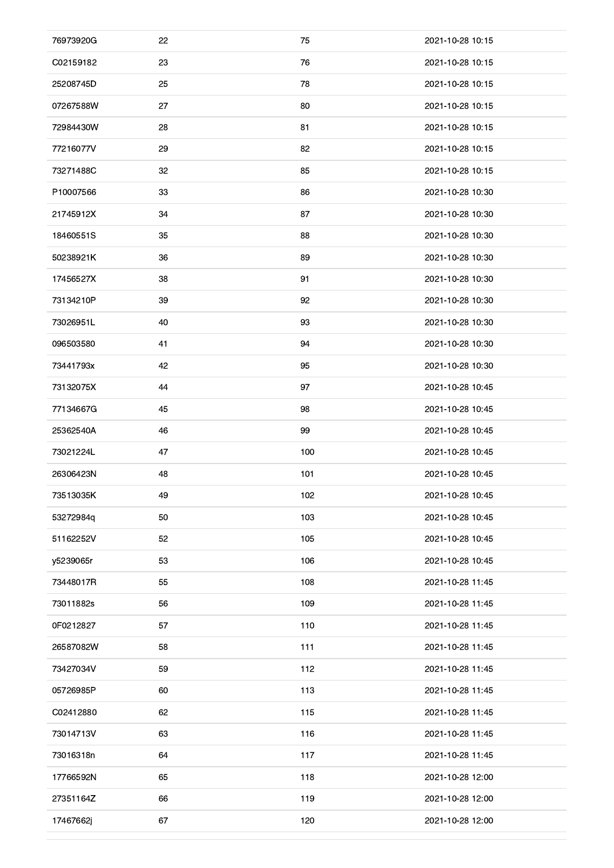| 76973920G | 22 | 75  | 2021-10-28 10:15 |
|-----------|----|-----|------------------|
| C02159182 | 23 | 76  | 2021-10-28 10:15 |
| 25208745D | 25 | 78  | 2021-10-28 10:15 |
| 07267588W | 27 | 80  | 2021-10-28 10:15 |
| 72984430W | 28 | 81  | 2021-10-28 10:15 |
| 77216077V | 29 | 82  | 2021-10-28 10:15 |
| 73271488C | 32 | 85  | 2021-10-28 10:15 |
| P10007566 | 33 | 86  | 2021-10-28 10:30 |
| 21745912X | 34 | 87  | 2021-10-28 10:30 |
| 18460551S | 35 | 88  | 2021-10-28 10:30 |
| 50238921K | 36 | 89  | 2021-10-28 10:30 |
| 17456527X | 38 | 91  | 2021-10-28 10:30 |
| 73134210P | 39 | 92  | 2021-10-28 10:30 |
| 73026951L | 40 | 93  | 2021-10-28 10:30 |
| 096503580 | 41 | 94  | 2021-10-28 10:30 |
| 73441793x | 42 | 95  | 2021-10-28 10:30 |
| 73132075X | 44 | 97  | 2021-10-28 10:45 |
| 77134667G | 45 | 98  | 2021-10-28 10:45 |
| 25362540A | 46 | 99  | 2021-10-28 10:45 |
| 73021224L | 47 | 100 | 2021-10-28 10:45 |
| 26306423N | 48 | 101 | 2021-10-28 10:45 |
| 73513035K | 49 | 102 | 2021-10-28 10:45 |
| 53272984q | 50 | 103 | 2021-10-28 10:45 |
| 51162252V | 52 | 105 | 2021-10-28 10:45 |
| y5239065r | 53 | 106 | 2021-10-28 10:45 |
| 73448017R | 55 | 108 | 2021-10-28 11:45 |
| 73011882s | 56 | 109 | 2021-10-28 11:45 |
| 0F0212827 | 57 | 110 | 2021-10-28 11:45 |
| 26587082W | 58 | 111 | 2021-10-28 11:45 |
| 73427034V | 59 | 112 | 2021-10-28 11:45 |
| 05726985P | 60 | 113 | 2021-10-28 11:45 |
| C02412880 | 62 | 115 | 2021-10-28 11:45 |
| 73014713V | 63 | 116 | 2021-10-28 11:45 |
| 73016318n | 64 | 117 | 2021-10-28 11:45 |
| 17766592N | 65 | 118 | 2021-10-28 12:00 |
| 27351164Z | 66 | 119 | 2021-10-28 12:00 |
| 17467662j | 67 | 120 | 2021-10-28 12:00 |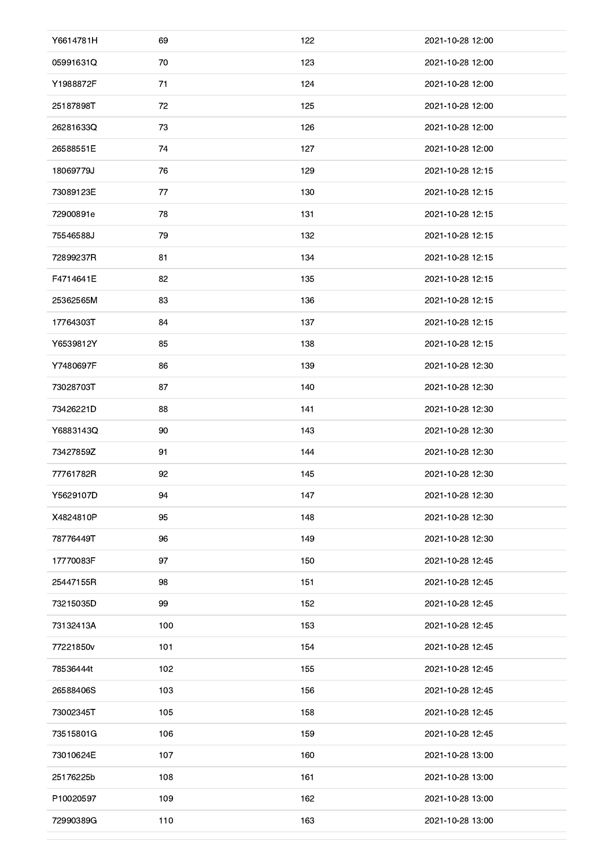| Y6614781H | 69  | 122 | 2021-10-28 12:00 |
|-----------|-----|-----|------------------|
| 05991631Q | 70  | 123 | 2021-10-28 12:00 |
| Y1988872F | 71  | 124 | 2021-10-28 12:00 |
| 25187898T | 72  | 125 | 2021-10-28 12:00 |
| 26281633Q | 73  | 126 | 2021-10-28 12:00 |
| 26588551E | 74  | 127 | 2021-10-28 12:00 |
| 18069779J | 76  | 129 | 2021-10-28 12:15 |
| 73089123E | 77  | 130 | 2021-10-28 12:15 |
| 72900891e | 78  | 131 | 2021-10-28 12:15 |
| 75546588J | 79  | 132 | 2021-10-28 12:15 |
| 72899237R | 81  | 134 | 2021-10-28 12:15 |
| F4714641E | 82  | 135 | 2021-10-28 12:15 |
| 25362565M | 83  | 136 | 2021-10-28 12:15 |
| 17764303T | 84  | 137 | 2021-10-28 12:15 |
| Y6539812Y | 85  | 138 | 2021-10-28 12:15 |
| Y7480697F | 86  | 139 | 2021-10-28 12:30 |
| 73028703T | 87  | 140 | 2021-10-28 12:30 |
| 73426221D | 88  | 141 | 2021-10-28 12:30 |
| Y6883143Q | 90  | 143 | 2021-10-28 12:30 |
| 73427859Z | 91  | 144 | 2021-10-28 12:30 |
| 77761782R |     | 145 | 2021-10-28 12:30 |
|           | 92  |     |                  |
| Y5629107D | 94  | 147 | 2021-10-28 12:30 |
| X4824810P | 95  | 148 | 2021-10-28 12:30 |
| 78776449T | 96  | 149 | 2021-10-28 12:30 |
| 17770083F | 97  | 150 | 2021-10-28 12:45 |
| 25447155R | 98  | 151 | 2021-10-28 12:45 |
| 73215035D | 99  | 152 | 2021-10-28 12:45 |
| 73132413A | 100 | 153 | 2021-10-28 12:45 |
| 77221850v | 101 | 154 | 2021-10-28 12:45 |
| 78536444t | 102 | 155 | 2021-10-28 12:45 |
| 26588406S | 103 | 156 | 2021-10-28 12:45 |
| 73002345T | 105 | 158 | 2021-10-28 12:45 |
| 73515801G | 106 | 159 | 2021-10-28 12:45 |
| 73010624E | 107 | 160 | 2021-10-28 13:00 |
| 25176225b | 108 | 161 | 2021-10-28 13:00 |
| P10020597 | 109 | 162 | 2021-10-28 13:00 |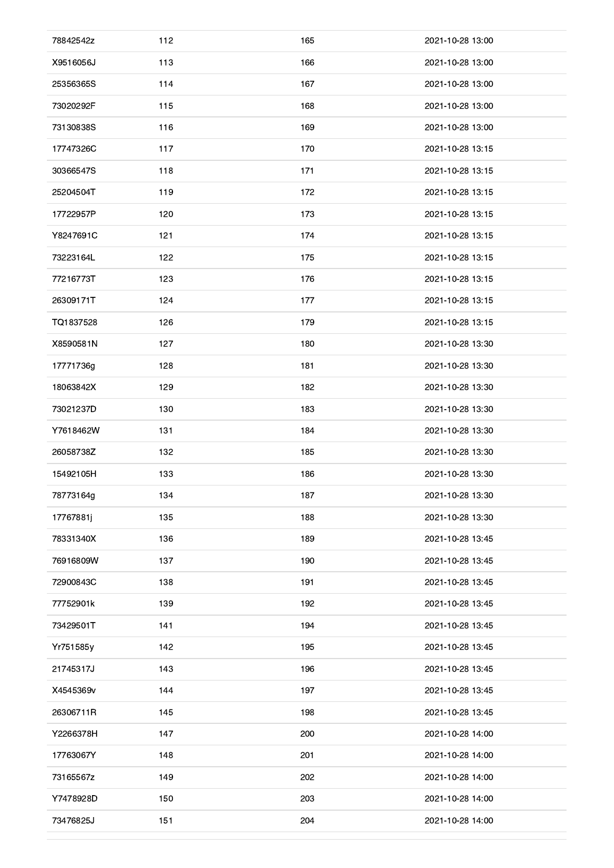| X9516056J<br>113<br>166<br>2021-10-28 13:00<br>114<br>167<br>2021-10-28 13:00<br>25356365S<br>168<br>2021-10-28 13:00<br>73020292F<br>115<br>169<br>73130838S<br>116<br>2021-10-28 13:00<br>170<br>17747326C<br>117<br>2021-10-28 13:15<br>30366547S<br>118<br>171<br>2021-10-28 13:15<br>172<br>25204504T<br>119<br>2021-10-28 13:15<br>173<br>17722957P<br>120<br>2021-10-28 13:15<br>Y8247691C<br>121<br>174<br>2021-10-28 13:15<br>73223164L<br>122<br>175<br>2021-10-28 13:15<br>77216773T<br>176<br>123<br>2021-10-28 13:15<br>26309171T<br>124<br>177<br>2021-10-28 13:15<br>TQ1837528<br>126<br>179<br>2021-10-28 13:15<br>X8590581N<br>127<br>180<br>2021-10-28 13:30<br>128<br>181<br>2021-10-28 13:30<br>17771736g<br>182<br>18063842X<br>129<br>2021-10-28 13:30<br>73021237D<br>130<br>183<br>2021-10-28 13:30<br>131<br>184<br>2021-10-28 13:30<br>Y7618462W<br>26058738Z<br>185<br>132<br>2021-10-28 13:30<br>15492105H<br>133<br>186<br>2021-10-28 13:30<br>78773164g<br>134<br>187<br>2021-10-28 13:30<br>188<br>17767881j<br>135<br>2021-10-28 13:30<br>78331340X<br>136<br>189<br>2021-10-28 13:45<br>137<br>190<br>76916809W<br>2021-10-28 13:45<br>138<br>191<br>72900843C<br>2021-10-28 13:45<br>139<br>192<br>77752901k<br>2021-10-28 13:45<br>141<br>194<br>73429501T<br>2021-10-28 13:45<br>142<br>195<br>Yr751585y<br>2021-10-28 13:45<br>143<br>196<br>21745317J<br>2021-10-28 13:45<br>144<br>197<br>X4545369v<br>2021-10-28 13:45<br>198<br>26306711R<br>145<br>2021-10-28 13:45<br>147<br>200<br>Y2266378H<br>2021-10-28 14:00<br>17763067Y<br>148<br>201<br>2021-10-28 14:00<br>202<br>149<br>2021-10-28 14:00<br>73165567z<br>Y7478928D<br>150<br>203<br>2021-10-28 14:00<br>151<br>204<br>73476825J<br>2021-10-28 14:00 | 78842542z | 112 | 165 | 2021-10-28 13:00 |
|----------------------------------------------------------------------------------------------------------------------------------------------------------------------------------------------------------------------------------------------------------------------------------------------------------------------------------------------------------------------------------------------------------------------------------------------------------------------------------------------------------------------------------------------------------------------------------------------------------------------------------------------------------------------------------------------------------------------------------------------------------------------------------------------------------------------------------------------------------------------------------------------------------------------------------------------------------------------------------------------------------------------------------------------------------------------------------------------------------------------------------------------------------------------------------------------------------------------------------------------------------------------------------------------------------------------------------------------------------------------------------------------------------------------------------------------------------------------------------------------------------------------------------------------------------------------------------------------------------------------------------------------------------------------------------------------------------------------------------------------------------|-----------|-----|-----|------------------|
|                                                                                                                                                                                                                                                                                                                                                                                                                                                                                                                                                                                                                                                                                                                                                                                                                                                                                                                                                                                                                                                                                                                                                                                                                                                                                                                                                                                                                                                                                                                                                                                                                                                                                                                                                          |           |     |     |                  |
|                                                                                                                                                                                                                                                                                                                                                                                                                                                                                                                                                                                                                                                                                                                                                                                                                                                                                                                                                                                                                                                                                                                                                                                                                                                                                                                                                                                                                                                                                                                                                                                                                                                                                                                                                          |           |     |     |                  |
|                                                                                                                                                                                                                                                                                                                                                                                                                                                                                                                                                                                                                                                                                                                                                                                                                                                                                                                                                                                                                                                                                                                                                                                                                                                                                                                                                                                                                                                                                                                                                                                                                                                                                                                                                          |           |     |     |                  |
|                                                                                                                                                                                                                                                                                                                                                                                                                                                                                                                                                                                                                                                                                                                                                                                                                                                                                                                                                                                                                                                                                                                                                                                                                                                                                                                                                                                                                                                                                                                                                                                                                                                                                                                                                          |           |     |     |                  |
|                                                                                                                                                                                                                                                                                                                                                                                                                                                                                                                                                                                                                                                                                                                                                                                                                                                                                                                                                                                                                                                                                                                                                                                                                                                                                                                                                                                                                                                                                                                                                                                                                                                                                                                                                          |           |     |     |                  |
|                                                                                                                                                                                                                                                                                                                                                                                                                                                                                                                                                                                                                                                                                                                                                                                                                                                                                                                                                                                                                                                                                                                                                                                                                                                                                                                                                                                                                                                                                                                                                                                                                                                                                                                                                          |           |     |     |                  |
|                                                                                                                                                                                                                                                                                                                                                                                                                                                                                                                                                                                                                                                                                                                                                                                                                                                                                                                                                                                                                                                                                                                                                                                                                                                                                                                                                                                                                                                                                                                                                                                                                                                                                                                                                          |           |     |     |                  |
|                                                                                                                                                                                                                                                                                                                                                                                                                                                                                                                                                                                                                                                                                                                                                                                                                                                                                                                                                                                                                                                                                                                                                                                                                                                                                                                                                                                                                                                                                                                                                                                                                                                                                                                                                          |           |     |     |                  |
|                                                                                                                                                                                                                                                                                                                                                                                                                                                                                                                                                                                                                                                                                                                                                                                                                                                                                                                                                                                                                                                                                                                                                                                                                                                                                                                                                                                                                                                                                                                                                                                                                                                                                                                                                          |           |     |     |                  |
|                                                                                                                                                                                                                                                                                                                                                                                                                                                                                                                                                                                                                                                                                                                                                                                                                                                                                                                                                                                                                                                                                                                                                                                                                                                                                                                                                                                                                                                                                                                                                                                                                                                                                                                                                          |           |     |     |                  |
|                                                                                                                                                                                                                                                                                                                                                                                                                                                                                                                                                                                                                                                                                                                                                                                                                                                                                                                                                                                                                                                                                                                                                                                                                                                                                                                                                                                                                                                                                                                                                                                                                                                                                                                                                          |           |     |     |                  |
|                                                                                                                                                                                                                                                                                                                                                                                                                                                                                                                                                                                                                                                                                                                                                                                                                                                                                                                                                                                                                                                                                                                                                                                                                                                                                                                                                                                                                                                                                                                                                                                                                                                                                                                                                          |           |     |     |                  |
|                                                                                                                                                                                                                                                                                                                                                                                                                                                                                                                                                                                                                                                                                                                                                                                                                                                                                                                                                                                                                                                                                                                                                                                                                                                                                                                                                                                                                                                                                                                                                                                                                                                                                                                                                          |           |     |     |                  |
|                                                                                                                                                                                                                                                                                                                                                                                                                                                                                                                                                                                                                                                                                                                                                                                                                                                                                                                                                                                                                                                                                                                                                                                                                                                                                                                                                                                                                                                                                                                                                                                                                                                                                                                                                          |           |     |     |                  |
|                                                                                                                                                                                                                                                                                                                                                                                                                                                                                                                                                                                                                                                                                                                                                                                                                                                                                                                                                                                                                                                                                                                                                                                                                                                                                                                                                                                                                                                                                                                                                                                                                                                                                                                                                          |           |     |     |                  |
|                                                                                                                                                                                                                                                                                                                                                                                                                                                                                                                                                                                                                                                                                                                                                                                                                                                                                                                                                                                                                                                                                                                                                                                                                                                                                                                                                                                                                                                                                                                                                                                                                                                                                                                                                          |           |     |     |                  |
|                                                                                                                                                                                                                                                                                                                                                                                                                                                                                                                                                                                                                                                                                                                                                                                                                                                                                                                                                                                                                                                                                                                                                                                                                                                                                                                                                                                                                                                                                                                                                                                                                                                                                                                                                          |           |     |     |                  |
|                                                                                                                                                                                                                                                                                                                                                                                                                                                                                                                                                                                                                                                                                                                                                                                                                                                                                                                                                                                                                                                                                                                                                                                                                                                                                                                                                                                                                                                                                                                                                                                                                                                                                                                                                          |           |     |     |                  |
|                                                                                                                                                                                                                                                                                                                                                                                                                                                                                                                                                                                                                                                                                                                                                                                                                                                                                                                                                                                                                                                                                                                                                                                                                                                                                                                                                                                                                                                                                                                                                                                                                                                                                                                                                          |           |     |     |                  |
|                                                                                                                                                                                                                                                                                                                                                                                                                                                                                                                                                                                                                                                                                                                                                                                                                                                                                                                                                                                                                                                                                                                                                                                                                                                                                                                                                                                                                                                                                                                                                                                                                                                                                                                                                          |           |     |     |                  |
|                                                                                                                                                                                                                                                                                                                                                                                                                                                                                                                                                                                                                                                                                                                                                                                                                                                                                                                                                                                                                                                                                                                                                                                                                                                                                                                                                                                                                                                                                                                                                                                                                                                                                                                                                          |           |     |     |                  |
|                                                                                                                                                                                                                                                                                                                                                                                                                                                                                                                                                                                                                                                                                                                                                                                                                                                                                                                                                                                                                                                                                                                                                                                                                                                                                                                                                                                                                                                                                                                                                                                                                                                                                                                                                          |           |     |     |                  |
|                                                                                                                                                                                                                                                                                                                                                                                                                                                                                                                                                                                                                                                                                                                                                                                                                                                                                                                                                                                                                                                                                                                                                                                                                                                                                                                                                                                                                                                                                                                                                                                                                                                                                                                                                          |           |     |     |                  |
|                                                                                                                                                                                                                                                                                                                                                                                                                                                                                                                                                                                                                                                                                                                                                                                                                                                                                                                                                                                                                                                                                                                                                                                                                                                                                                                                                                                                                                                                                                                                                                                                                                                                                                                                                          |           |     |     |                  |
|                                                                                                                                                                                                                                                                                                                                                                                                                                                                                                                                                                                                                                                                                                                                                                                                                                                                                                                                                                                                                                                                                                                                                                                                                                                                                                                                                                                                                                                                                                                                                                                                                                                                                                                                                          |           |     |     |                  |
|                                                                                                                                                                                                                                                                                                                                                                                                                                                                                                                                                                                                                                                                                                                                                                                                                                                                                                                                                                                                                                                                                                                                                                                                                                                                                                                                                                                                                                                                                                                                                                                                                                                                                                                                                          |           |     |     |                  |
|                                                                                                                                                                                                                                                                                                                                                                                                                                                                                                                                                                                                                                                                                                                                                                                                                                                                                                                                                                                                                                                                                                                                                                                                                                                                                                                                                                                                                                                                                                                                                                                                                                                                                                                                                          |           |     |     |                  |
|                                                                                                                                                                                                                                                                                                                                                                                                                                                                                                                                                                                                                                                                                                                                                                                                                                                                                                                                                                                                                                                                                                                                                                                                                                                                                                                                                                                                                                                                                                                                                                                                                                                                                                                                                          |           |     |     |                  |
|                                                                                                                                                                                                                                                                                                                                                                                                                                                                                                                                                                                                                                                                                                                                                                                                                                                                                                                                                                                                                                                                                                                                                                                                                                                                                                                                                                                                                                                                                                                                                                                                                                                                                                                                                          |           |     |     |                  |
|                                                                                                                                                                                                                                                                                                                                                                                                                                                                                                                                                                                                                                                                                                                                                                                                                                                                                                                                                                                                                                                                                                                                                                                                                                                                                                                                                                                                                                                                                                                                                                                                                                                                                                                                                          |           |     |     |                  |
|                                                                                                                                                                                                                                                                                                                                                                                                                                                                                                                                                                                                                                                                                                                                                                                                                                                                                                                                                                                                                                                                                                                                                                                                                                                                                                                                                                                                                                                                                                                                                                                                                                                                                                                                                          |           |     |     |                  |
|                                                                                                                                                                                                                                                                                                                                                                                                                                                                                                                                                                                                                                                                                                                                                                                                                                                                                                                                                                                                                                                                                                                                                                                                                                                                                                                                                                                                                                                                                                                                                                                                                                                                                                                                                          |           |     |     |                  |
|                                                                                                                                                                                                                                                                                                                                                                                                                                                                                                                                                                                                                                                                                                                                                                                                                                                                                                                                                                                                                                                                                                                                                                                                                                                                                                                                                                                                                                                                                                                                                                                                                                                                                                                                                          |           |     |     |                  |
|                                                                                                                                                                                                                                                                                                                                                                                                                                                                                                                                                                                                                                                                                                                                                                                                                                                                                                                                                                                                                                                                                                                                                                                                                                                                                                                                                                                                                                                                                                                                                                                                                                                                                                                                                          |           |     |     |                  |
|                                                                                                                                                                                                                                                                                                                                                                                                                                                                                                                                                                                                                                                                                                                                                                                                                                                                                                                                                                                                                                                                                                                                                                                                                                                                                                                                                                                                                                                                                                                                                                                                                                                                                                                                                          |           |     |     |                  |
|                                                                                                                                                                                                                                                                                                                                                                                                                                                                                                                                                                                                                                                                                                                                                                                                                                                                                                                                                                                                                                                                                                                                                                                                                                                                                                                                                                                                                                                                                                                                                                                                                                                                                                                                                          |           |     |     |                  |